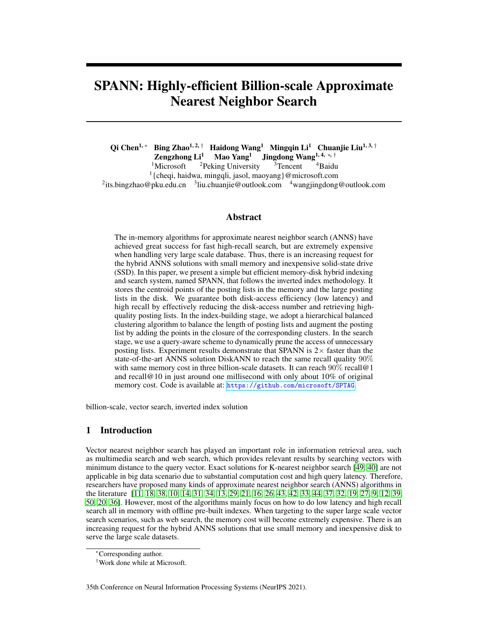# SPANN: Highly-efficient Billion-scale Approximate Nearest Neighbor Search

Qi Chen<sup>1, ∗</sup> Bing Zhao<sup>1, 2, †</sup> Haidong Wang<sup>1</sup> Mingqin Li<sup>1</sup> Chuanjie Liu<sup>1, 3, †</sup><br>Zengzhong Li<sup>1</sup> Mao Yang<sup>1</sup> Jingdong Wang<sup>1, 4, \*, †</sup> **Zengzhong Li<sup>1</sup> Mao Yang<sup>1</sup> Jingdong Wang1** 1Microsoft <sup>2</sup>Peking University <sup>3</sup>Tencent  ${}^{2}$ Peking University  ${}^{3}$ Tencent  ${}^{4}$ Baidu <sup>1</sup>{cheqi, haidwa, mingqli, jasol, maoyang}@microsoft.com <sup>2</sup>its.bingzhao@pku.edu.cn <sup>3</sup>liu.chuanjie@outlook.com <sup>4</sup>wangjingdong@outlook.com

## Abstract

The in-memory algorithms for approximate nearest neighbor search (ANNS) have achieved great success for fast high-recall search, but are extremely expensive when handling very large scale database. Thus, there is an increasing request for the hybrid ANNS solutions with small memory and inexpensive solid-state drive (SSD). In this paper, we present a simple but efficient memory-disk hybrid indexing and search system, named SPANN, that follows the inverted index methodology. It stores the centroid points of the posting lists in the memory and the large posting lists in the disk. We guarantee both disk-access efficiency (low latency) and high recall by effectively reducing the disk-access number and retrieving highquality posting lists. In the index-building stage, we adopt a hierarchical balanced clustering algorithm to balance the length of posting lists and augment the posting list by adding the points in the closure of the corresponding clusters. In the search stage, we use a query-aware scheme to dynamically prune the access of unnecessary posting lists. Experiment results demonstrate that SPANN is  $2\times$  faster than the state-of-the-art ANNS solution DiskANN to reach the same recall quality 90% with same memory cost in three billion-scale datasets. It can reach  $90\%$  recall@1 and recall@10 in just around one millisecond with only about  $10\%$  of original memory cost. Code is available at: <https://github.com/microsoft/SPTAG>.

billion-scale, vector search, inverted index solution

# 1 Introduction

Vector nearest neighbor search has played an important role in information retrieval area, such as multimedia search and web search, which provides relevant results by searching vectors with minimum distance to the query vector. Exact solutions for K-nearest neighbor search [\[49,](#page-12-0) [40\]](#page-11-0) are not applicable in big data scenario due to substantial computation cost and high query latency. Therefore, researchers have proposed many kinds of approximate nearest neighbor search (ANNS) algorithms in the literature [\[11,](#page-10-0) [18,](#page-10-1) [38,](#page-11-1) [10,](#page-10-2) [14,](#page-10-3) [31,](#page-11-2) [34,](#page-11-3) [13,](#page-10-4) [29,](#page-11-4) [21,](#page-10-5) [16,](#page-10-6) [26,](#page-11-5) [43,](#page-12-1) [42,](#page-11-6) [33,](#page-11-7) [44,](#page-12-2) [37,](#page-11-8) [32,](#page-11-9) [19,](#page-10-7) [27,](#page-11-10) [9,](#page-10-8) [12,](#page-10-9) [39,](#page-11-11) [50,](#page-12-3) [20,](#page-10-10) [36\]](#page-11-12). However, most of the algorithms mainly focus on how to do low latency and high recall search all in memory with offline pre-built indexes. When targeting to the super large scale vector search scenarios, such as web search, the memory cost will become extremely expensive. There is an increasing request for the hybrid ANNS solutions that use small memory and inexpensive disk to serve the large scale datasets.

<sup>∗</sup>Corresponding author.

<sup>†</sup>Work done while at Microsoft.

<sup>35</sup>th Conference on Neural Information Processing Systems (NeurIPS 2021).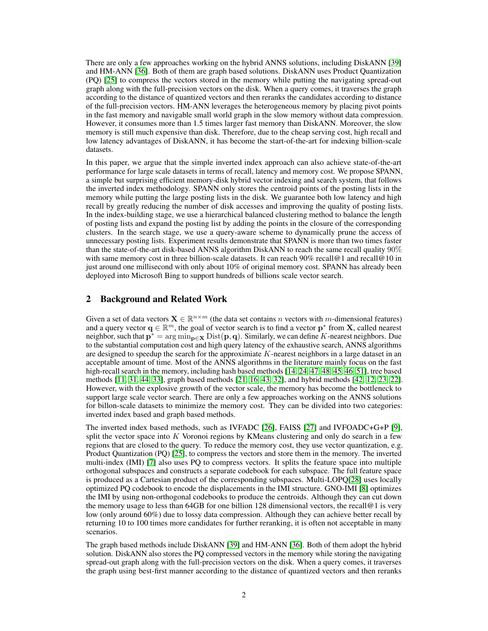There are only a few approaches working on the hybrid ANNS solutions, including DiskANN [\[39\]](#page-11-11) and HM-ANN [\[36\]](#page-11-12). Both of them are graph based solutions. DiskANN uses Product Quantization (PQ) [\[25\]](#page-10-11) to compress the vectors stored in the memory while putting the navigating spread-out graph along with the full-precision vectors on the disk. When a query comes, it traverses the graph according to the distance of quantized vectors and then reranks the candidates according to distance of the full-precision vectors. HM-ANN leverages the heterogeneous memory by placing pivot points in the fast memory and navigable small world graph in the slow memory without data compression. However, it consumes more than 1.5 times larger fast memory than DiskANN. Moreover, the slow memory is still much expensive than disk. Therefore, due to the cheap serving cost, high recall and low latency advantages of DiskANN, it has become the start-of-the-art for indexing billion-scale datasets.

In this paper, we argue that the simple inverted index approach can also achieve state-of-the-art performance for large scale datasets in terms of recall, latency and memory cost. We propose SPANN, a simple but surprising efficient memory-disk hybrid vector indexing and search system, that follows the inverted index methodology. SPANN only stores the centroid points of the posting lists in the memory while putting the large posting lists in the disk. We guarantee both low latency and high recall by greatly reducing the number of disk accesses and improving the quality of posting lists. In the index-building stage, we use a hierarchical balanced clustering method to balance the length of posting lists and expand the posting list by adding the points in the closure of the corresponding clusters. In the search stage, we use a query-aware scheme to dynamically prune the access of unnecessary posting lists. Experiment results demonstrate that SPANN is more than two times faster than the state-of-the-art disk-based ANNS algorithm DiskANN to reach the same recall quality 90% with same memory cost in three billion-scale datasets. It can reach 90% recall@1 and recall@10 in just around one millisecond with only about 10% of original memory cost. SPANN has already been deployed into Microsoft Bing to support hundreds of billions scale vector search.

# 2 Background and Related Work

Given a set of data vectors  $\mathbf{X} \in \mathbb{R}^{n \times m}$  (the data set contains n vectors with m-dimensional features) and a query vector  $\mathbf{q} \in \mathbb{R}^m$ , the goal of vector search is to find a vector  $\mathbf{p}^*$  from **X**, called nearest neighbor, such that  $p^* = \arg \min_{p \in X} Dist(p, q)$ . Similarly, we can define K-nearest neighbors. Due to the substantial computation cost and high query latency of the exhaustive search, ANNS algorithms are designed to speedup the search for the approximiate  $K$ -nearest neighbors in a large dataset in an acceptable amount of time. Most of the ANNS algorithms in the literature mainly focus on the fast high-recall search in the memory, including hash based methods [\[14,](#page-10-3) [24,](#page-10-12) [47,](#page-12-4) [48,](#page-12-5) [45,](#page-12-6) [46,](#page-12-7) [51\]](#page-12-8), tree based methods [\[11,](#page-10-0) [31,](#page-11-2) [44,](#page-12-2) [33\]](#page-11-7), graph based methods [\[21,](#page-10-5) [16,](#page-10-6) [43,](#page-12-1) [32\]](#page-11-9), and hybrid methods [\[42,](#page-11-6) [12,](#page-10-9) [23,](#page-10-13) [22\]](#page-10-14). However, with the explosive growth of the vector scale, the memory has become the bottleneck to support large scale vector search. There are only a few approaches working on the ANNS solutions for billon-scale datasets to minimize the memory cost. They can be divided into two categories: inverted index based and graph based methods.

The inverted index based methods, such as IVFADC [\[26\]](#page-11-5), FAISS [\[27\]](#page-11-10) and IVFOADC+G+P [\[9\]](#page-10-8), split the vector space into  $K$  Voronoi regions by KMeans clustering and only do search in a few regions that are closed to the query. To reduce the memory cost, they use vector quantization, e.g. Product Quantization (PQ) [\[25\]](#page-10-11), to compress the vectors and store them in the memory. The inverted multi-index (IMI) [\[7\]](#page-9-0) also uses PQ to compress vectors. It splits the feature space into multiple orthogonal subspaces and constructs a separate codebook for each subspace. The full feature space is produced as a Cartesian product of the corresponding subspaces. Multi-LOPQ[\[28\]](#page-11-13) uses locally optimized PQ codebook to encode the displacements in the IMI structure. GNO-IMI [\[8\]](#page-9-1) optimizes the IMI by using non-orthogonal codebooks to produce the centroids. Although they can cut down the memory usage to less than 64GB for one billion 128 dimensional vectors, the recall@1 is very low (only around 60%) due to lossy data compression. Although they can achieve better recall by returning 10 to 100 times more candidates for further reranking, it is often not acceptable in many scenarios.

The graph based methods include DiskANN [\[39\]](#page-11-11) and HM-ANN [\[36\]](#page-11-12). Both of them adopt the hybrid solution. DiskANN also stores the PQ compressed vectors in the memory while storing the navigating spread-out graph along with the full-precision vectors on the disk. When a query comes, it traverses the graph using best-first manner according to the distance of quantized vectors and then reranks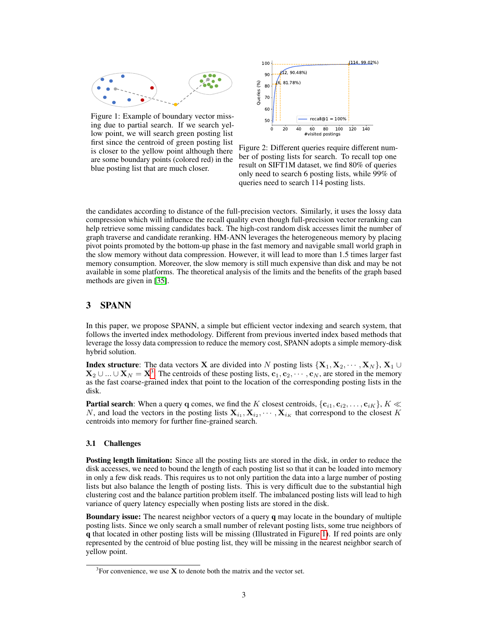<span id="page-2-1"></span>

Figure 1: Example of boundary vector missing due to partial search. If we search yellow point, we will search green posting list first since the centroid of green posting list is closer to the yellow point although there are some boundary points (colored red) in the blue posting list that are much closer.



Figure 2: Different queries require different number of posting lists for search. To recall top one result on SIFT1M dataset, we find 80% of queries only need to search 6 posting lists, while 99% of queries need to search 114 posting lists.

the candidates according to distance of the full-precision vectors. Similarly, it uses the lossy data compression which will influence the recall quality even though full-precision vector reranking can help retrieve some missing candidates back. The high-cost random disk accesses limit the number of graph traverse and candidate reranking. HM-ANN leverages the heterogeneous memory by placing pivot points promoted by the bottom-up phase in the fast memory and navigable small world graph in the slow memory without data compression. However, it will lead to more than 1.5 times larger fast memory consumption. Moreover, the slow memory is still much expensive than disk and may be not available in some platforms. The theoretical analysis of the limits and the benefits of the graph based methods are given in [\[35\]](#page-11-14).

## 3 SPANN

In this paper, we propose SPANN, a simple but efficient vector indexing and search system, that follows the inverted index methodology. Different from previous inverted index based methods that leverage the lossy data compression to reduce the memory cost, SPANN adopts a simple memory-disk hybrid solution.

**Index structure:** The data vectors **X** are divided into N posting lists  $\{X_1, X_2, \cdots, X_N\}, X_1 \cup$  $X_2 \cup ... \cup X_N = X^3$  $X_2 \cup ... \cup X_N = X^3$ . The centroids of these posting lists,  $c_1, c_2, \dots, c_N$ , are stored in the memory as the fast coarse-grained index that point to the location of the corresponding posting lists in the disk.

**Partial search**: When a query q comes, we find the K closest centroids,  $\{c_{i1}, c_{i2}, \ldots, c_{iK}\}\$ ,  $K \ll$ N, and load the vectors in the posting lists  $X_{i_1}, X_{i_2}, \cdots, X_{i_K}$  that correspond to the closest K centroids into memory for further fine-grained search.

#### 3.1 Challenges

Posting length limitation: Since all the posting lists are stored in the disk, in order to reduce the disk accesses, we need to bound the length of each posting list so that it can be loaded into memory in only a few disk reads. This requires us to not only partition the data into a large number of posting lists but also balance the length of posting lists. This is very difficult due to the substantial high clustering cost and the balance partition problem itself. The imbalanced posting lists will lead to high variance of query latency especially when posting lists are stored in the disk.

Boundary issue: The nearest neighbor vectors of a query q may locate in the boundary of multiple posting lists. Since we only search a small number of relevant posting lists, some true neighbors of q that located in other posting lists will be missing (Illustrated in Figure [1\)](#page-2-1). If red points are only represented by the centroid of blue posting list, they will be missing in the nearest neighbor search of yellow point.

<span id="page-2-0"></span> $3$ For convenience, we use **X** to denote both the matrix and the vector set.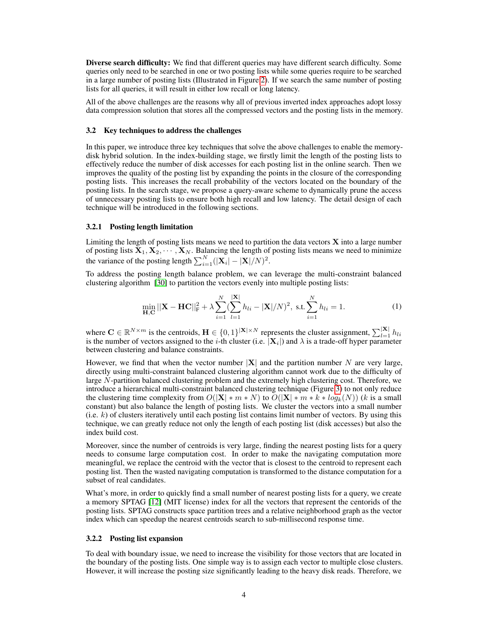Diverse search difficulty: We find that different queries may have different search difficulty. Some queries only need to be searched in one or two posting lists while some queries require to be searched in a large number of posting lists (Illustrated in Figure [2\)](#page-2-1). If we search the same number of posting lists for all queries, it will result in either low recall or long latency.

All of the above challenges are the reasons why all of previous inverted index approaches adopt lossy data compression solution that stores all the compressed vectors and the posting lists in the memory.

#### 3.2 Key techniques to address the challenges

In this paper, we introduce three key techniques that solve the above challenges to enable the memorydisk hybrid solution. In the index-building stage, we firstly limit the length of the posting lists to effectively reduce the number of disk accesses for each posting list in the online search. Then we improves the quality of the posting list by expanding the points in the closure of the corresponding posting lists. This increases the recall probability of the vectors located on the boundary of the posting lists. In the search stage, we propose a query-aware scheme to dynamically prune the access of unnecessary posting lists to ensure both high recall and low latency. The detail design of each technique will be introduced in the following sections.

#### 3.2.1 Posting length limitation

Limiting the length of posting lists means we need to partition the data vectors  $X$  into a large number of posting lists  $X_1, X_2, \dots, X_N$ . Balancing the length of posting lists means we need to minimize the variance of the posting length  $\sum_{i=1}^{N} (|\mathbf{X}_i| - |\mathbf{X}|/N)^2$ .

To address the posting length balance problem, we can leverage the multi-constraint balanced clustering algorithm [\[30\]](#page-11-15) to partition the vectors evenly into multiple posting lists:

$$
\min_{\mathbf{H}, \mathbf{C}} ||\mathbf{X} - \mathbf{HC}||_{\mathbf{F}}^2 + \lambda \sum_{i=1}^N (\sum_{l=1}^{|X|} h_{li} - |\mathbf{X}|/N)^2, \text{ s.t. } \sum_{i=1}^N h_{li} = 1.
$$
 (1)

where  $\mathbf{C} \in \mathbb{R}^{N \times m}$  is the centroids,  $\mathbf{H} \in \{0,1\}^{|\mathbf{X}| \times N}$  represents the cluster assignment,  $\sum_{l=1}^{|\mathbf{X}|} h_{li}$ is the number of vectors assigned to the *i*-th cluster (i.e.  $|\mathbf{X}_i|$ ) and  $\lambda$  is a trade-off hyper parameter between clustering and balance constraints.

However, we find that when the vector number  $|\mathbf{X}|$  and the partition number N are very large, directly using multi-constraint balanced clustering algorithm cannot work due to the difficulty of large  $N$ -partition balanced clustering problem and the extremely high clustering cost. Therefore, we introduce a hierarchical multi-constraint balanced clustering technique (Figure [3\)](#page-4-0) to not only reduce the clustering time complexity from  $O(|\mathbf{X}| * m * N)$  to  $O(|\mathbf{X}| * m * k * log_k(N))$  (k is a small constant) but also balance the length of posting lists. We cluster the vectors into a small number  $(i.e. k)$  of clusters iteratively until each posting list contains limit number of vectors. By using this technique, we can greatly reduce not only the length of each posting list (disk accesses) but also the index build cost.

Moreover, since the number of centroids is very large, finding the nearest posting lists for a query needs to consume large computation cost. In order to make the navigating computation more meaningful, we replace the centroid with the vector that is closest to the centroid to represent each posting list. Then the wasted navigating computation is transformed to the distance computation for a subset of real candidates.

What's more, in order to quickly find a small number of nearest posting lists for a query, we create a memory SPTAG [\[12\]](#page-10-9) (MIT license) index for all the vectors that represent the centorids of the posting lists. SPTAG constructs space partition trees and a relative neighborhood graph as the vector index which can speedup the nearest centroids search to sub-millisecond response time.

#### 3.2.2 Posting list expansion

To deal with boundary issue, we need to increase the visibility for those vectors that are located in the boundary of the posting lists. One simple way is to assign each vector to multiple close clusters. However, it will increase the posting size significantly leading to the heavy disk reads. Therefore, we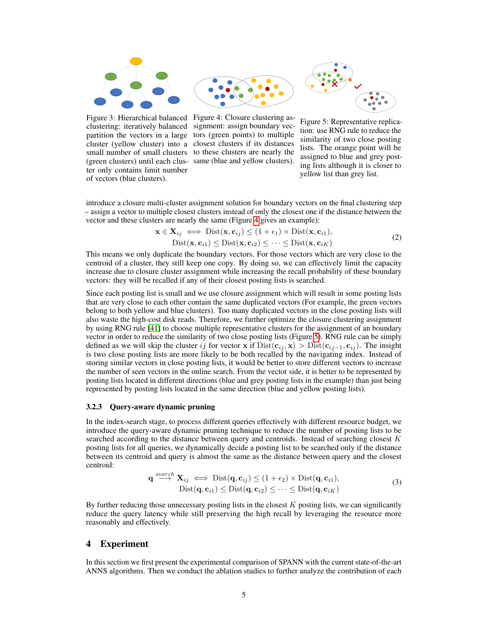<span id="page-4-0"></span>



ter only contains limit number of vectors (blue clusters).



Figure 5: Representative replication: use RNG rule to reduce the similarity of two close posting lists. The orange point will be assigned to blue and grey posting lists although it is closer to yellow list than grey list.

introduce a closure multi-cluster assignment solution for boundary vectors on the final clustering step – assign a vector to multiple closest clusters instead of only the closest one if the distance between the vector and these clusters are nearly the same (Figure [4](#page-4-0) gives an example):

$$
\mathbf{x} \in \mathbf{X}_{ij} \iff \text{Dist}(\mathbf{x}, \mathbf{c}_{ij}) \le (1 + \epsilon_1) \times \text{Dist}(\mathbf{x}, \mathbf{c}_{i1}),
$$
  
Dist( $\mathbf{x}, \mathbf{c}_{i1}$ )  $\le \text{Dist}(\mathbf{x}, \mathbf{c}_{i2}) \le \cdots \le \text{Dist}(\mathbf{x}, \mathbf{c}_{iK})$  (2)

This means we only duplicate the boundary vectors. For those vectors which are very close to the centroid of a cluster, they still keep one copy. By doing so, we can effectively limit the capacity increase due to closure cluster assignment while increasing the recall probability of these boundary vectors: they will be recalled if any of their closest posting lists is searched.

Since each posting list is small and we use closure assignment which will result in some posting lists that are very close to each other contain the same duplicated vectors (For example, the green vectors belong to both yellow and blue clusters). Too many duplicated vectors in the close posting lists will also waste the high-cost disk reads. Therefore, we further optimize the closure clustering assignment by using RNG rule [\[41\]](#page-11-16) to choose multiple representative clusters for the assignment of an boundary vector in order to reduce the similarity of two close posting lists (Figure [5\)](#page-4-0). RNG rule can be simply defined as we will skip the cluster ij for vector x if  $Dist(c_{ij}, x) > Dist(c_{ij-1}, c_{ij})$ . The insight is two close posting lists are more likely to be both recalled by the navigating index. Instead of storing similar vectors in close posting lists, it would be better to store different vectors to increase the number of seen vectors in the online search. From the vector side, it is better to be represented by posting lists located in different directions (blue and grey posting lists in the example) than just being represented by posting lists located in the same direction (blue and yellow posting lists).

#### 3.2.3 Query-aware dynamic pruning

In the index-search stage, to process different queries effectively with different resource budget, we introduce the query-aware dynamic pruning technique to reduce the number of posting lists to be searched according to the distance between query and centroids. Instead of searching closest K posting lists for all queries, we dynamically decide a posting list to be searched only if the distance between its centroid and query is almost the same as the distance between query and the closest centroid:

$$
\mathbf{q} \stackrel{search}{\longrightarrow} \mathbf{X}_{ij} \iff \text{Dist}(\mathbf{q}, \mathbf{c}_{ij}) \le (1 + \epsilon_2) \times \text{Dist}(\mathbf{q}, \mathbf{c}_{i1}),
$$
  
Dist $(\mathbf{q}, \mathbf{c}_{i1}) \le \text{Dist}(\mathbf{q}, \mathbf{c}_{i2}) \le \cdots \le \text{Dist}(\mathbf{q}, \mathbf{c}_{iK})$  (3)

By further reducing those unnecessary posting lists in the closest  $K$  posting lists, we can significantly reduce the query latency while still preserving the high recall by leveraging the resource more reasonably and effectively.

# 4 Experiment

In this section we first present the experimental comparison of SPANN with the current state-of-the-art ANNS algorithms. Then we conduct the ablation studies to further analyze the contribution of each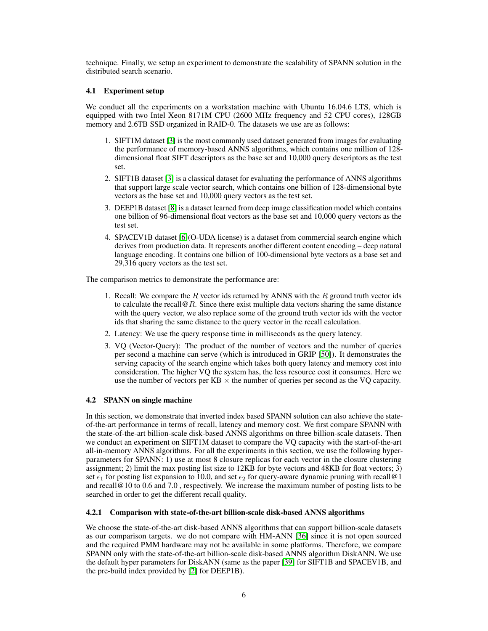technique. Finally, we setup an experiment to demonstrate the scalability of SPANN solution in the distributed search scenario.

### 4.1 Experiment setup

We conduct all the experiments on a workstation machine with Ubuntu 16.04.6 LTS, which is equipped with two Intel Xeon 8171M CPU (2600 MHz frequency and 52 CPU cores), 128GB memory and 2.6TB SSD organized in RAID-0. The datasets we use are as follows:

- 1. SIFT1M dataset [\[3\]](#page-9-2) is the most commonly used dataset generated from images for evaluating the performance of memory-based ANNS algorithms, which contains one million of 128 dimensional float SIFT descriptors as the base set and 10,000 query descriptors as the test set.
- 2. SIFT1B dataset [\[3\]](#page-9-2) is a classical dataset for evaluating the performance of ANNS algorithms that support large scale vector search, which contains one billion of 128-dimensional byte vectors as the base set and 10,000 query vectors as the test set.
- 3. DEEP1B dataset [\[8\]](#page-9-1) is a dataset learned from deep image classification model which contains one billion of 96-dimensional float vectors as the base set and 10,000 query vectors as the test set.
- 4. SPACEV1B dataset [\[6\]](#page-9-3)(O-UDA license) is a dataset from commercial search engine which derives from production data. It represents another different content encoding – deep natural language encoding. It contains one billion of 100-dimensional byte vectors as a base set and 29,316 query vectors as the test set.

The comparison metrics to demonstrate the performance are:

- 1. Recall: We compare the  $R$  vector ids returned by ANNS with the  $R$  ground truth vector ids to calculate the recall  $\mathcal{Q}_R$ . Since there exist multiple data vectors sharing the same distance with the query vector, we also replace some of the ground truth vector ids with the vector ids that sharing the same distance to the query vector in the recall calculation.
- 2. Latency: We use the query response time in milliseconds as the query latency.
- 3. VQ (Vector-Query): The product of the number of vectors and the number of queries per second a machine can serve (which is introduced in GRIP [\[50\]](#page-12-3)). It demonstrates the serving capacity of the search engine which takes both query latency and memory cost into consideration. The higher VQ the system has, the less resource cost it consumes. Here we use the number of vectors per  $KB \times$  the number of queries per second as the VQ capacity.

## 4.2 SPANN on single machine

In this section, we demonstrate that inverted index based SPANN solution can also achieve the stateof-the-art performance in terms of recall, latency and memory cost. We first compare SPANN with the state-of-the-art billion-scale disk-based ANNS algorithms on three billion-scale datasets. Then we conduct an experiment on SIFT1M dataset to compare the VQ capacity with the start-of-the-art all-in-memory ANNS algorithms. For all the experiments in this section, we use the following hyperparameters for SPANN: 1) use at most 8 closure replicas for each vector in the closure clustering assignment; 2) limit the max posting list size to 12KB for byte vectors and 48KB for float vectors; 3) set  $\epsilon_1$  for posting list expansion to 10.0, and set  $\epsilon_2$  for query-aware dynamic pruning with recall@1 and recall@10 to 0.6 and 7.0 , respectively. We increase the maximum number of posting lists to be searched in order to get the different recall quality.

## 4.2.1 Comparison with state-of-the-art billion-scale disk-based ANNS algorithms

We choose the state-of-the-art disk-based ANNS algorithms that can support billion-scale datasets as our comparison targets. we do not compare with HM-ANN [\[36\]](#page-11-12) since it is not open sourced and the required PMM hardware may not be available in some platforms. Therefore, we compare SPANN only with the state-of-the-art billion-scale disk-based ANNS algorithm DiskANN. We use the default hyper parameters for DiskANN (same as the paper [\[39\]](#page-11-11) for SIFT1B and SPACEV1B, and the pre-build index provided by [\[2\]](#page-9-4) for DEEP1B).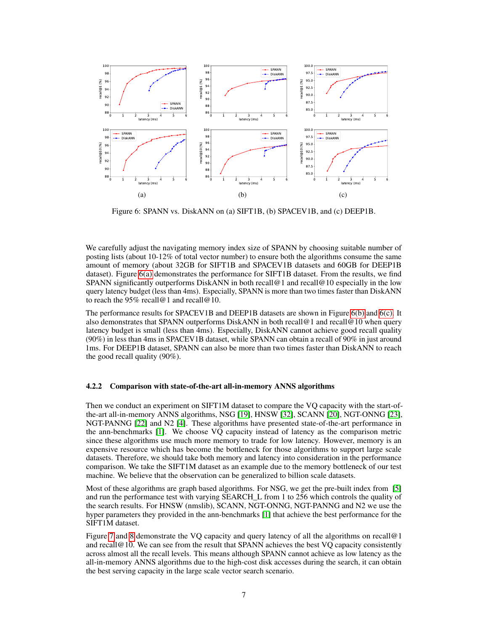<span id="page-6-0"></span>

<span id="page-6-2"></span><span id="page-6-1"></span>Figure 6: SPANN vs. DiskANN on (a) SIFT1B, (b) SPACEV1B, and (c) DEEP1B.

We carefully adjust the navigating memory index size of SPANN by choosing suitable number of posting lists (about 10-12% of total vector number) to ensure both the algorithms consume the same amount of memory (about 32GB for SIFT1B and SPACEV1B datasets and 60GB for DEEP1B dataset). Figure [6\(a\)](#page-6-0) demonstrates the performance for SIFT1B dataset. From the results, we find SPANN significantly outperforms DiskANN in both recall@1 and recall@10 especially in the low query latency budget (less than 4ms). Especially, SPANN is more than two times faster than DiskANN to reach the 95% recall@1 and recall@10.

The performance results for SPACEV1B and DEEP1B datasets are shown in Figure [6\(b\)](#page-6-1) and [6\(c\).](#page-6-2) It also demonstrates that SPANN outperforms DiskANN in both recall@1 and recall@10 when query latency budget is small (less than 4ms). Especially, DiskANN cannot achieve good recall quality (90%) in less than 4ms in SPACEV1B dataset, while SPANN can obtain a recall of 90% in just around 1ms. For DEEP1B dataset, SPANN can also be more than two times faster than DiskANN to reach the good recall quality (90%).

### 4.2.2 Comparison with state-of-the-art all-in-memory ANNS algorithms

Then we conduct an experiment on SIFT1M dataset to compare the VQ capacity with the start-ofthe-art all-in-memory ANNS algorithms, NSG [\[19\]](#page-10-7), HNSW [\[32\]](#page-11-9), SCANN [\[20\]](#page-10-10), NGT-ONNG [\[23\]](#page-10-13), NGT-PANNG [\[22\]](#page-10-14) and N2 [\[4\]](#page-9-5). These algorithms have presented state-of-the-art performance in the ann-benchmarks [\[1\]](#page-9-6). We choose VQ capacity instead of latency as the comparison metric since these algorithms use much more memory to trade for low latency. However, memory is an expensive resource which has become the bottleneck for those algorithms to support large scale datasets. Therefore, we should take both memory and latency into consideration in the performance comparison. We take the SIFT1M dataset as an example due to the memory bottleneck of our test machine. We believe that the observation can be generalized to billion scale datasets.

Most of these algorithms are graph based algorithms. For NSG, we get the pre-built index from [\[5\]](#page-9-7) and run the performance test with varying SEARCH\_L from 1 to 256 which controls the quality of the search results. For HNSW (nmslib), SCANN, NGT-ONNG, NGT-PANNG and N2 we use the hyper parameters they provided in the ann-benchmarks [\[1\]](#page-9-6) that achieve the best performance for the SIFT1M dataset.

Figure [7](#page-7-0) and [8](#page-7-0) demonstrate the VQ capacity and query latency of all the algorithms on recall@1 and recall@10. We can see from the result that SPANN achieves the best VQ capacity consistently across almost all the recall levels. This means although SPANN cannot achieve as low latency as the all-in-memory ANNS algorithms due to the high-cost disk accesses during the search, it can obtain the best serving capacity in the large scale vector search scenario.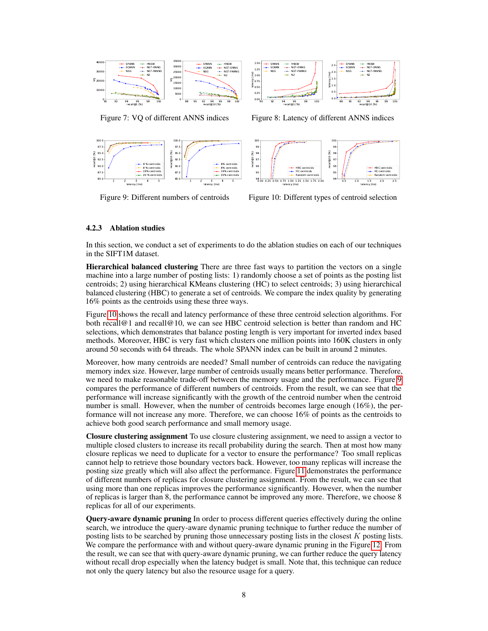<span id="page-7-0"></span>

90 92 94 96 98 100 recall@1 (%)  $0.00 +$ 0.25  $\frac{60}{2}$  1.00<br>  $\frac{60}{4}$  0.75<br>  $\frac{40}{4}$  0.50 ខិ 1 c  $1.2$ 1.50 SPANN SCANN NSG HNSW NGT-ONNG NGT-PANNG N2 88 90 92 94 96 98 100 recall@10 (%)  $0.0 \leftarrow$  $0.51 -$ 1.0 1.5 2.0 2.5  $\sum_{i=1}^{n}$ <br>atention SPANN SCANN NSG HNSW NGT-ONNG NGT-PANNG N2

Figure 7: VQ of different ANNS indices

Figure 8: Latency of different ANNS indices

<span id="page-7-1"></span>

Figure 9: Different numbers of centroids

Figure 10: Different types of centroid selection

recall@10 (%)

0.5 1.0 1.5 2.0 2.5 latency (ms)

HBC centroids HC centroids Random centroids

0.00 0.25 0.50 0.75 1.00 1.25 1.50 1.75 2.00 latency (ms)

HBC centroids HC centroids Random centroids

## 4.2.3 Ablation studies

In this section, we conduct a set of experiments to do the ablation studies on each of our techniques in the SIFT1M dataset.

recall@1 (%)

Hierarchical balanced clustering There are three fast ways to partition the vectors on a single machine into a large number of posting lists: 1) randomly choose a set of points as the posting list centroids; 2) using hierarchical KMeans clustering (HC) to select centroids; 3) using hierarchical balanced clustering (HBC) to generate a set of centroids. We compare the index quality by generating 16% points as the centroids using these three ways.

Figure [10](#page-7-1) shows the recall and latency performance of these three centroid selection algorithms. For both recall@1 and recall@10, we can see HBC centroid selection is better than random and HC selections, which demonstrates that balance posting length is very important for inverted index based methods. Moreover, HBC is very fast which clusters one million points into 160K clusters in only around 50 seconds with 64 threads. The whole SPANN index can be built in around 2 minutes.

Moreover, how many centroids are needed? Small number of centroids can reduce the navigating memory index size. However, large number of centroids usually means better performance. Therefore, we need to make reasonable trade-off between the memory usage and the performance. Figure [9](#page-7-1) compares the performance of different numbers of centroids. From the result, we can see that the performance will increase significantly with the growth of the centroid number when the centroid number is small. However, when the number of centroids becomes large enough (16%), the performance will not increase any more. Therefore, we can choose 16% of points as the centroids to achieve both good search performance and small memory usage.

Closure clustering assignment To use closure clustering assignment, we need to assign a vector to multiple closed clusters to increase its recall probability during the search. Then at most how many closure replicas we need to duplicate for a vector to ensure the performance? Too small replicas cannot help to retrieve those boundary vectors back. However, too many replicas will increase the posting size greatly which will also affect the performance. Figure [11](#page-8-0) demonstrates the performance of different numbers of replicas for closure clustering assignment. From the result, we can see that using more than one replicas improves the performance significantly. However, when the number of replicas is larger than 8, the performance cannot be improved any more. Therefore, we choose 8 replicas for all of our experiments.

Query-aware dynamic pruning In order to process different queries effectively during the online search, we introduce the query-aware dynamic pruning technique to further reduce the number of posting lists to be searched by pruning those unnecessary posting lists in the closest K posting lists. We compare the performance with and without query-aware dynamic pruning in the Figure [12.](#page-8-0) From the result, we can see that with query-aware dynamic pruning, we can further reduce the query latency without recall drop especially when the latency budget is small. Note that, this technique can reduce not only the query latency but also the resource usage for a query.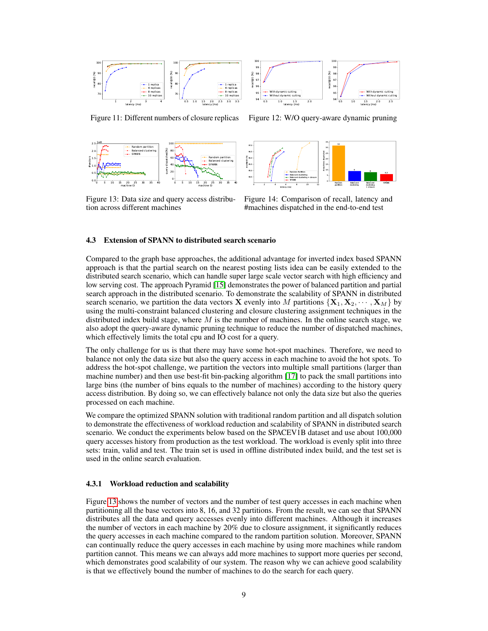<span id="page-8-0"></span>



Figure 11: Different numbers of closure replicas

Figure 12: W/O query-aware dynamic pruning

<span id="page-8-1"></span>

Figure 13: Data size and query access distribution across different machines



Figure 14: Comparison of recall, latency and #machines dispatched in the end-to-end test

## 4.3 Extension of SPANN to distributed search scenario

Compared to the graph base approaches, the additional advantage for inverted index based SPANN approach is that the partial search on the nearest posting lists idea can be easily extended to the distributed search scenario, which can handle super large scale vector search with high efficiency and low serving cost. The approach Pyramid [\[15\]](#page-10-15) demonstrates the power of balanced partition and partial search approach in the distributed scenario. To demonstrate the scalability of SPANN in distributed search scenario, we partition the data vectors **X** evenly into M partitions  $\{X_1, X_2, \dots, X_M\}$  by using the multi-constraint balanced clustering and closure clustering assignment techniques in the distributed index build stage, where  $M$  is the number of machines. In the online search stage, we also adopt the query-aware dynamic pruning technique to reduce the number of dispatched machines, which effectively limits the total cpu and IO cost for a query.

The only challenge for us is that there may have some hot-spot machines. Therefore, we need to balance not only the data size but also the query access in each machine to avoid the hot spots. To address the hot-spot challenge, we partition the vectors into multiple small partitions (larger than machine number) and then use best-fit bin-packing algorithm [\[17\]](#page-10-16) to pack the small partitions into large bins (the number of bins equals to the number of machines) according to the history query access distribution. By doing so, we can effectively balance not only the data size but also the queries processed on each machine.

We compare the optimized SPANN solution with traditional random partition and all dispatch solution to demonstrate the effectiveness of workload reduction and scalability of SPANN in distributed search scenario. We conduct the experiments below based on the SPACEV1B dataset and use about 100,000 query accesses history from production as the test workload. The workload is evenly split into three sets: train, valid and test. The train set is used in offline distributed index build, and the test set is used in the online search evaluation.

#### 4.3.1 Workload reduction and scalability

Figure [13](#page-8-1) shows the number of vectors and the number of test query accesses in each machine when partitioning all the base vectors into 8, 16, and 32 partitions. From the result, we can see that SPANN distributes all the data and query accesses evenly into different machines. Although it increases the number of vectors in each machine by 20% due to closure assignment, it significantly reduces the query accesses in each machine compared to the random partition solution. Moreover, SPANN can continually reduce the query accesses in each machine by using more machines while random partition cannot. This means we can always add more machines to support more queries per second, which demonstrates good scalability of our system. The reason why we can achieve good scalability is that we effectively bound the number of machines to do the search for each query.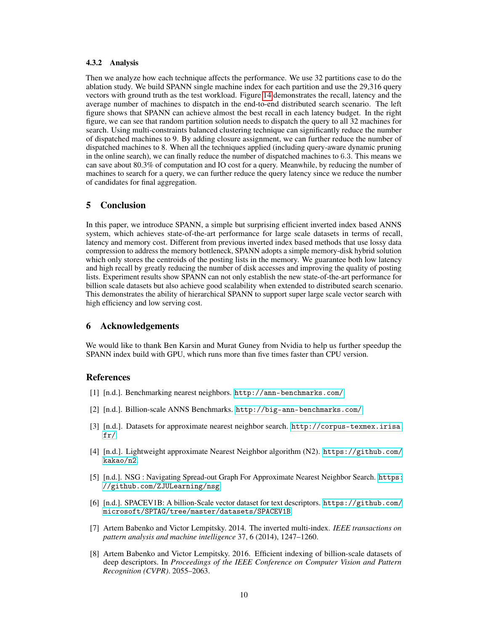#### 4.3.2 Analysis

Then we analyze how each technique affects the performance. We use 32 partitions case to do the ablation study. We build SPANN single machine index for each partition and use the 29,316 query vectors with ground truth as the test workload. Figure [14](#page-8-1) demonstrates the recall, latency and the average number of machines to dispatch in the end-to-end distributed search scenario. The left figure shows that SPANN can achieve almost the best recall in each latency budget. In the right figure, we can see that random partition solution needs to dispatch the query to all 32 machines for search. Using multi-constraints balanced clustering technique can significantly reduce the number of dispatched machines to 9. By adding closure assignment, we can further reduce the number of dispatched machines to 8. When all the techniques applied (including query-aware dynamic pruning in the online search), we can finally reduce the number of dispatched machines to 6.3. This means we can save about 80.3% of computation and IO cost for a query. Meanwhile, by reducing the number of machines to search for a query, we can further reduce the query latency since we reduce the number of candidates for final aggregation.

# 5 Conclusion

In this paper, we introduce SPANN, a simple but surprising efficient inverted index based ANNS system, which achieves state-of-the-art performance for large scale datasets in terms of recall, latency and memory cost. Different from previous inverted index based methods that use lossy data compression to address the memory bottleneck, SPANN adopts a simple memory-disk hybrid solution which only stores the centroids of the posting lists in the memory. We guarantee both low latency and high recall by greatly reducing the number of disk accesses and improving the quality of posting lists. Experiment results show SPANN can not only establish the new state-of-the-art performance for billion scale datasets but also achieve good scalability when extended to distributed search scenario. This demonstrates the ability of hierarchical SPANN to support super large scale vector search with high efficiency and low serving cost.

## 6 Acknowledgements

We would like to thank Ben Karsin and Murat Guney from Nvidia to help us further speedup the SPANN index build with GPU, which runs more than five times faster than CPU version.

## References

- <span id="page-9-6"></span>[1] [n.d.]. Benchmarking nearest neighbors. <http://ann-benchmarks.com/>.
- <span id="page-9-4"></span>[2] [n.d.]. Billion-scale ANNS Benchmarks. <http://big-ann-benchmarks.com/>.
- <span id="page-9-2"></span>[3] [n.d.]. Datasets for approximate nearest neighbor search. [http://corpus-texmex.irisa.](http://corpus-texmex.irisa.fr/) [fr/](http://corpus-texmex.irisa.fr/).
- <span id="page-9-5"></span>[4] [n.d.]. Lightweight approximate Nearest Neighbor algorithm (N2). [https://github.com/](https://github.com/kakao/n2) [kakao/n2](https://github.com/kakao/n2).
- <span id="page-9-7"></span>[5] [n.d.]. NSG : Navigating Spread-out Graph For Approximate Nearest Neighbor Search. [https:](https://github.com/ZJULearning/nsg) [//github.com/ZJULearning/nsg](https://github.com/ZJULearning/nsg).
- <span id="page-9-3"></span>[6] [n.d.]. SPACEV1B: A billion-Scale vector dataset for text descriptors. [https://github.com/](https://github.com/microsoft/SPTAG/tree/master/datasets/SPACEV1B) [microsoft/SPTAG/tree/master/datasets/SPACEV1B](https://github.com/microsoft/SPTAG/tree/master/datasets/SPACEV1B).
- <span id="page-9-0"></span>[7] Artem Babenko and Victor Lempitsky. 2014. The inverted multi-index. *IEEE transactions on pattern analysis and machine intelligence* 37, 6 (2014), 1247–1260.
- <span id="page-9-1"></span>[8] Artem Babenko and Victor Lempitsky. 2016. Efficient indexing of billion-scale datasets of deep descriptors. In *Proceedings of the IEEE Conference on Computer Vision and Pattern Recognition (CVPR)*. 2055–2063.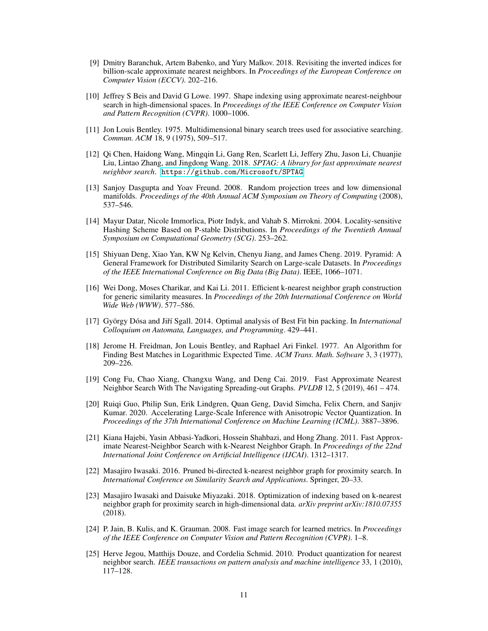- <span id="page-10-8"></span>[9] Dmitry Baranchuk, Artem Babenko, and Yury Malkov. 2018. Revisiting the inverted indices for billion-scale approximate nearest neighbors. In *Proceedings of the European Conference on Computer Vision (ECCV)*. 202–216.
- <span id="page-10-2"></span>[10] Jeffrey S Beis and David G Lowe. 1997. Shape indexing using approximate nearest-neighbour search in high-dimensional spaces. In *Proceedings of the IEEE Conference on Computer Vision and Pattern Recognition (CVPR)*. 1000–1006.
- <span id="page-10-0"></span>[11] Jon Louis Bentley. 1975. Multidimensional binary search trees used for associative searching. *Commun. ACM* 18, 9 (1975), 509–517.
- <span id="page-10-9"></span>[12] Qi Chen, Haidong Wang, Mingqin Li, Gang Ren, Scarlett Li, Jeffery Zhu, Jason Li, Chuanjie Liu, Lintao Zhang, and Jingdong Wang. 2018. *SPTAG: A library for fast approximate nearest neighbor search*. <https://github.com/Microsoft/SPTAG>
- <span id="page-10-4"></span>[13] Sanjoy Dasgupta and Yoav Freund. 2008. Random projection trees and low dimensional manifolds. *Proceedings of the 40th Annual ACM Symposium on Theory of Computing* (2008), 537–546.
- <span id="page-10-3"></span>[14] Mayur Datar, Nicole Immorlica, Piotr Indyk, and Vahab S. Mirrokni. 2004. Locality-sensitive Hashing Scheme Based on P-stable Distributions. In *Proceedings of the Twentieth Annual Symposium on Computational Geometry (SCG)*. 253–262.
- <span id="page-10-15"></span>[15] Shiyuan Deng, Xiao Yan, KW Ng Kelvin, Chenyu Jiang, and James Cheng. 2019. Pyramid: A General Framework for Distributed Similarity Search on Large-scale Datasets. In *Proceedings of the IEEE International Conference on Big Data (Big Data)*. IEEE, 1066–1071.
- <span id="page-10-6"></span>[16] Wei Dong, Moses Charikar, and Kai Li. 2011. Efficient k-nearest neighbor graph construction for generic similarity measures. In *Proceedings of the 20th International Conference on World Wide Web (WWW)*. 577–586.
- <span id="page-10-16"></span>[17] György Dósa and Jiˇrí Sgall. 2014. Optimal analysis of Best Fit bin packing. In *International Colloquium on Automata, Languages, and Programming*. 429–441.
- <span id="page-10-1"></span>[18] Jerome H. Freidman, Jon Louis Bentley, and Raphael Ari Finkel. 1977. An Algorithm for Finding Best Matches in Logarithmic Expected Time. *ACM Trans. Math. Software* 3, 3 (1977), 209–226.
- <span id="page-10-7"></span>[19] Cong Fu, Chao Xiang, Changxu Wang, and Deng Cai. 2019. Fast Approximate Nearest Neighbor Search With The Navigating Spreading-out Graphs. *PVLDB* 12, 5 (2019), 461 – 474.
- <span id="page-10-10"></span>[20] Ruiqi Guo, Philip Sun, Erik Lindgren, Quan Geng, David Simcha, Felix Chern, and Sanjiv Kumar. 2020. Accelerating Large-Scale Inference with Anisotropic Vector Quantization. In *Proceedings of the 37th International Conference on Machine Learning (ICML)*. 3887–3896.
- <span id="page-10-5"></span>[21] Kiana Hajebi, Yasin Abbasi-Yadkori, Hossein Shahbazi, and Hong Zhang. 2011. Fast Approximate Nearest-Neighbor Search with k-Nearest Neighbor Graph. In *Proceedings of the 22nd International Joint Conference on Artificial Intelligence (IJCAI)*. 1312–1317.
- <span id="page-10-14"></span>[22] Masajiro Iwasaki. 2016. Pruned bi-directed k-nearest neighbor graph for proximity search. In *International Conference on Similarity Search and Applications*. Springer, 20–33.
- <span id="page-10-13"></span>[23] Masajiro Iwasaki and Daisuke Miyazaki. 2018. Optimization of indexing based on k-nearest neighbor graph for proximity search in high-dimensional data. *arXiv preprint arXiv:1810.07355* (2018).
- <span id="page-10-12"></span>[24] P. Jain, B. Kulis, and K. Grauman. 2008. Fast image search for learned metrics. In *Proceedings of the IEEE Conference on Computer Vision and Pattern Recognition (CVPR)*. 1–8.
- <span id="page-10-11"></span>[25] Herve Jegou, Matthijs Douze, and Cordelia Schmid. 2010. Product quantization for nearest neighbor search. *IEEE transactions on pattern analysis and machine intelligence* 33, 1 (2010), 117–128.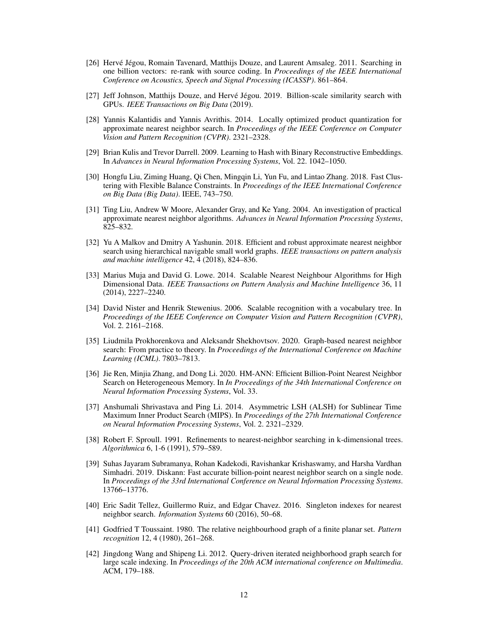- <span id="page-11-5"></span>[26] Hervé Jégou, Romain Tavenard, Matthijs Douze, and Laurent Amsaleg. 2011. Searching in one billion vectors: re-rank with source coding. In *Proceedings of the IEEE International Conference on Acoustics, Speech and Signal Processing (ICASSP)*. 861–864.
- <span id="page-11-10"></span>[27] Jeff Johnson, Matthijs Douze, and Hervé Jégou. 2019. Billion-scale similarity search with GPUs. *IEEE Transactions on Big Data* (2019).
- <span id="page-11-13"></span>[28] Yannis Kalantidis and Yannis Avrithis. 2014. Locally optimized product quantization for approximate nearest neighbor search. In *Proceedings of the IEEE Conference on Computer Vision and Pattern Recognition (CVPR)*. 2321–2328.
- <span id="page-11-4"></span>[29] Brian Kulis and Trevor Darrell. 2009. Learning to Hash with Binary Reconstructive Embeddings. In *Advances in Neural Information Processing Systems*, Vol. 22. 1042–1050.
- <span id="page-11-15"></span>[30] Hongfu Liu, Ziming Huang, Qi Chen, Mingqin Li, Yun Fu, and Lintao Zhang. 2018. Fast Clustering with Flexible Balance Constraints. In *Proceedings of the IEEE International Conference on Big Data (Big Data)*. IEEE, 743–750.
- <span id="page-11-2"></span>[31] Ting Liu, Andrew W Moore, Alexander Gray, and Ke Yang. 2004. An investigation of practical approximate nearest neighbor algorithms. *Advances in Neural Information Processing Systems*, 825–832.
- <span id="page-11-9"></span>[32] Yu A Malkov and Dmitry A Yashunin. 2018. Efficient and robust approximate nearest neighbor search using hierarchical navigable small world graphs. *IEEE transactions on pattern analysis and machine intelligence* 42, 4 (2018), 824–836.
- <span id="page-11-7"></span>[33] Marius Muja and David G. Lowe. 2014. Scalable Nearest Neighbour Algorithms for High Dimensional Data. *IEEE Transactions on Pattern Analysis and Machine Intelligence* 36, 11 (2014), 2227–2240.
- <span id="page-11-3"></span>[34] David Nister and Henrik Stewenius. 2006. Scalable recognition with a vocabulary tree. In *Proceedings of the IEEE Conference on Computer Vision and Pattern Recognition (CVPR)*, Vol. 2. 2161–2168.
- <span id="page-11-14"></span>[35] Liudmila Prokhorenkova and Aleksandr Shekhovtsov. 2020. Graph-based nearest neighbor search: From practice to theory. In *Proceedings of the International Conference on Machine Learning (ICML)*. 7803–7813.
- <span id="page-11-12"></span>[36] Jie Ren, Minjia Zhang, and Dong Li. 2020. HM-ANN: Efficient Billion-Point Nearest Neighbor Search on Heterogeneous Memory. In *In Proceedings of the 34th International Conference on Neural Information Processing Systems*, Vol. 33.
- <span id="page-11-8"></span>[37] Anshumali Shrivastava and Ping Li. 2014. Asymmetric LSH (ALSH) for Sublinear Time Maximum Inner Product Search (MIPS). In *Proceedings of the 27th International Conference on Neural Information Processing Systems*, Vol. 2. 2321–2329.
- <span id="page-11-1"></span>[38] Robert F. Sproull. 1991. Refinements to nearest-neighbor searching in k-dimensional trees. *Algorithmica* 6, 1-6 (1991), 579–589.
- <span id="page-11-11"></span>[39] Suhas Jayaram Subramanya, Rohan Kadekodi, Ravishankar Krishaswamy, and Harsha Vardhan Simhadri. 2019. Diskann: Fast accurate billion-point nearest neighbor search on a single node. In *Proceedings of the 33rd International Conference on Neural Information Processing Systems*. 13766–13776.
- <span id="page-11-0"></span>[40] Eric Sadit Tellez, Guillermo Ruiz, and Edgar Chavez. 2016. Singleton indexes for nearest neighbor search. *Information Systems* 60 (2016), 50–68.
- <span id="page-11-16"></span>[41] Godfried T Toussaint. 1980. The relative neighbourhood graph of a finite planar set. *Pattern recognition* 12, 4 (1980), 261–268.
- <span id="page-11-6"></span>[42] Jingdong Wang and Shipeng Li. 2012. Query-driven iterated neighborhood graph search for large scale indexing. In *Proceedings of the 20th ACM international conference on Multimedia*. ACM, 179–188.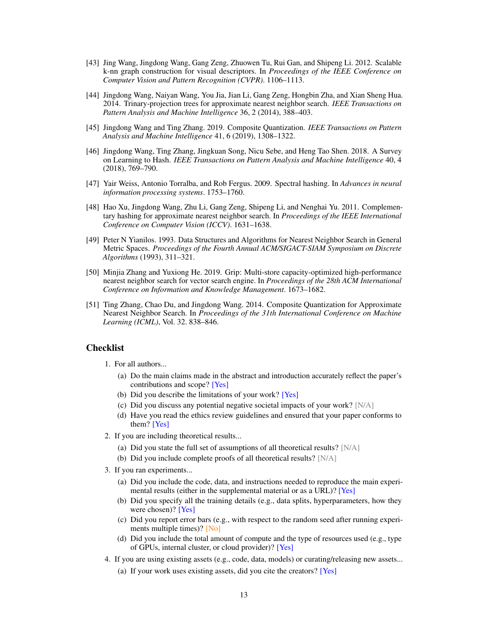- <span id="page-12-1"></span>[43] Jing Wang, Jingdong Wang, Gang Zeng, Zhuowen Tu, Rui Gan, and Shipeng Li. 2012. Scalable k-nn graph construction for visual descriptors. In *Proceedings of the IEEE Conference on Computer Vision and Pattern Recognition (CVPR)*. 1106–1113.
- <span id="page-12-2"></span>[44] Jingdong Wang, Naiyan Wang, You Jia, Jian Li, Gang Zeng, Hongbin Zha, and Xian Sheng Hua. 2014. Trinary-projection trees for approximate nearest neighbor search. *IEEE Transactions on Pattern Analysis and Machine Intelligence* 36, 2 (2014), 388–403.
- <span id="page-12-6"></span>[45] Jingdong Wang and Ting Zhang. 2019. Composite Quantization. *IEEE Transactions on Pattern Analysis and Machine Intelligence* 41, 6 (2019), 1308–1322.
- <span id="page-12-7"></span>[46] Jingdong Wang, Ting Zhang, Jingkuan Song, Nicu Sebe, and Heng Tao Shen. 2018. A Survey on Learning to Hash. *IEEE Transactions on Pattern Analysis and Machine Intelligence* 40, 4 (2018), 769–790.
- <span id="page-12-4"></span>[47] Yair Weiss, Antonio Torralba, and Rob Fergus. 2009. Spectral hashing. In *Advances in neural information processing systems*. 1753–1760.
- <span id="page-12-5"></span>[48] Hao Xu, Jingdong Wang, Zhu Li, Gang Zeng, Shipeng Li, and Nenghai Yu. 2011. Complementary hashing for approximate nearest neighbor search. In *Proceedings of the IEEE International Conference on Computer Vision (ICCV)*. 1631–1638.
- <span id="page-12-0"></span>[49] Peter N Yianilos. 1993. Data Structures and Algorithms for Nearest Neighbor Search in General Metric Spaces. *Proceedings of the Fourth Annual ACM/SIGACT-SIAM Symposium on Discrete Algorithms* (1993), 311–321.
- <span id="page-12-3"></span>[50] Minjia Zhang and Yuxiong He. 2019. Grip: Multi-store capacity-optimized high-performance nearest neighbor search for vector search engine. In *Proceedings of the 28th ACM International Conference on Information and Knowledge Management*. 1673–1682.
- <span id="page-12-8"></span>[51] Ting Zhang, Chao Du, and Jingdong Wang. 2014. Composite Quantization for Approximate Nearest Neighbor Search. In *Proceedings of the 31th International Conference on Machine Learning (ICML)*, Vol. 32. 838–846.

# Checklist

- 1. For all authors...
	- (a) Do the main claims made in the abstract and introduction accurately reflect the paper's contributions and scope? [Yes]
	- (b) Did you describe the limitations of your work? [Yes]
	- (c) Did you discuss any potential negative societal impacts of your work? [N/A]
	- (d) Have you read the ethics review guidelines and ensured that your paper conforms to them? [Yes]
- 2. If you are including theoretical results...
	- (a) Did you state the full set of assumptions of all theoretical results? [N/A]
	- (b) Did you include complete proofs of all theoretical results? [N/A]
- 3. If you ran experiments...
	- (a) Did you include the code, data, and instructions needed to reproduce the main experimental results (either in the supplemental material or as a URL)? [Yes]
	- (b) Did you specify all the training details (e.g., data splits, hyperparameters, how they were chosen)? [Yes]
	- (c) Did you report error bars (e.g., with respect to the random seed after running experiments multiple times)? [No]
	- (d) Did you include the total amount of compute and the type of resources used (e.g., type of GPUs, internal cluster, or cloud provider)? [Yes]
- 4. If you are using existing assets (e.g., code, data, models) or curating/releasing new assets...
	- (a) If your work uses existing assets, did you cite the creators? [Yes]